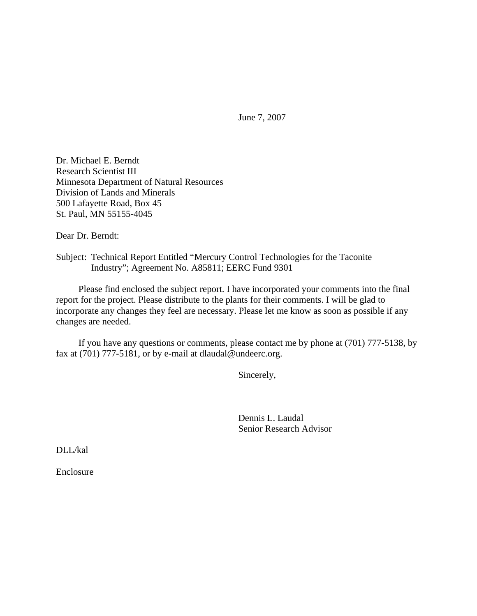June 7, 2007

Dr. Michael E. Berndt Research Scientist III Minnesota Department of Natural Resources Division of Lands and Minerals 500 Lafayette Road, Box 45 St. Paul, MN 55155-4045

Dear Dr. Berndt:

Subject: Technical Report Entitled "Mercury Control Technologies for the Taconite Industry"; Agreement No. A85811; EERC Fund 9301

 Please find enclosed the subject report. I have incorporated your comments into the final report for the project. Please distribute to the plants for their comments. I will be glad to incorporate any changes they feel are necessary. Please let me know as soon as possible if any changes are needed.

 If you have any questions or comments, please contact me by phone at (701) 777-5138, by fax at (701) 777-5181, or by e-mail at dlaudal@undeerc.org.

Sincerely,

 Dennis L. Laudal Senior Research Advisor

DLL/kal

Enclosure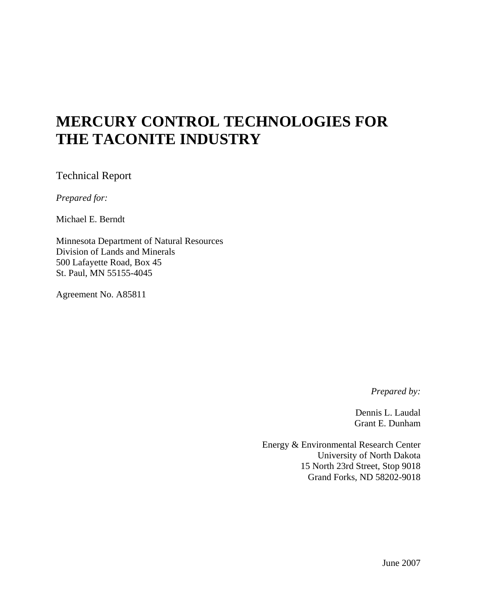# **MERCURY CONTROL TECHNOLOGIES FOR THE TACONITE INDUSTRY**

Technical Report

*Prepared for:* 

Michael E. Berndt

Minnesota Department of Natural Resources Division of Lands and Minerals 500 Lafayette Road, Box 45 St. Paul, MN 55155-4045

Agreement No. A85811

*Prepared by:* 

Dennis L. Laudal Grant E. Dunham

Energy & Environmental Research Center University of North Dakota 15 North 23rd Street, Stop 9018 Grand Forks, ND 58202-9018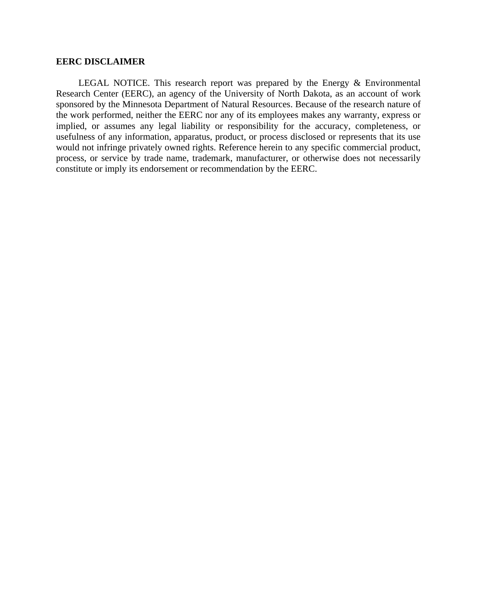#### **EERC DISCLAIMER**

 LEGAL NOTICE. This research report was prepared by the Energy & Environmental Research Center (EERC), an agency of the University of North Dakota, as an account of work sponsored by the Minnesota Department of Natural Resources. Because of the research nature of the work performed, neither the EERC nor any of its employees makes any warranty, express or implied, or assumes any legal liability or responsibility for the accuracy, completeness, or usefulness of any information, apparatus, product, or process disclosed or represents that its use would not infringe privately owned rights. Reference herein to any specific commercial product, process, or service by trade name, trademark, manufacturer, or otherwise does not necessarily constitute or imply its endorsement or recommendation by the EERC.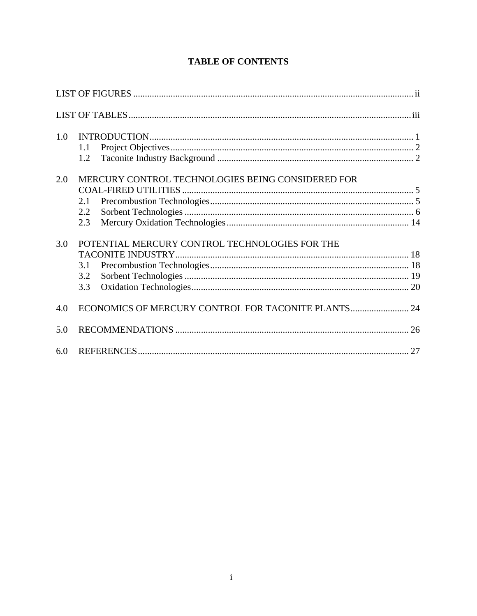| 1.0 | 1.1<br>1.2                                                             |  |
|-----|------------------------------------------------------------------------|--|
| 2.0 | MERCURY CONTROL TECHNOLOGIES BEING CONSIDERED FOR<br>2.1<br>2.2<br>2.3 |  |
| 3.0 | POTENTIAL MERCURY CONTROL TECHNOLOGIES FOR THE<br>3.1<br>3.2<br>3.3    |  |
| 4.0 | ECONOMICS OF MERCURY CONTROL FOR TACONITE PLANTS 24                    |  |
| 5.0 |                                                                        |  |
| 6.0 |                                                                        |  |

# **TABLE OF CONTENTS**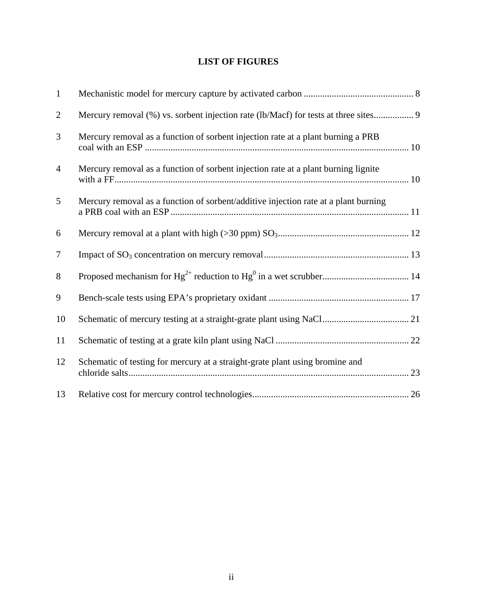# **LIST OF FIGURES**

| $\mathbf{1}$   |                                                                                     |
|----------------|-------------------------------------------------------------------------------------|
| $\overline{2}$ | Mercury removal (%) vs. sorbent injection rate (lb/Macf) for tests at three sites 9 |
| 3              | Mercury removal as a function of sorbent injection rate at a plant burning a PRB    |
| $\overline{4}$ | Mercury removal as a function of sorbent injection rate at a plant burning lignite  |
| 5              | Mercury removal as a function of sorbent/additive injection rate at a plant burning |
| 6              |                                                                                     |
| $\tau$         |                                                                                     |
| 8              |                                                                                     |
| 9              |                                                                                     |
| 10             |                                                                                     |
| 11             |                                                                                     |
| 12             | Schematic of testing for mercury at a straight-grate plant using bromine and        |
| 13             |                                                                                     |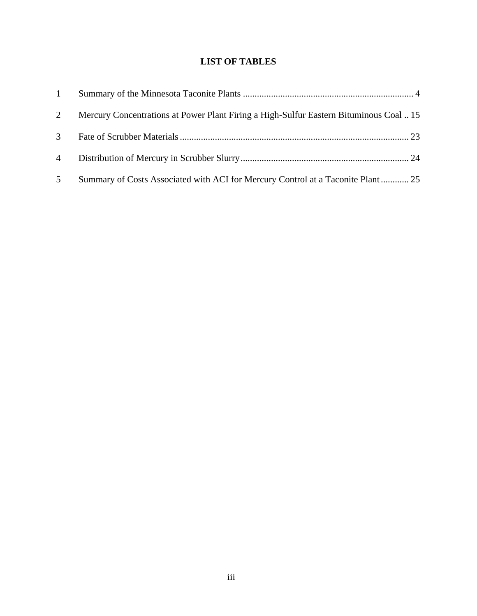# **LIST OF TABLES**

| $\mathbf{1}$   |                                                                                        |  |
|----------------|----------------------------------------------------------------------------------------|--|
| 2              | Mercury Concentrations at Power Plant Firing a High-Sulfur Eastern Bituminous Coal  15 |  |
| $\mathcal{E}$  |                                                                                        |  |
| $\overline{4}$ |                                                                                        |  |
| 5 <sup>5</sup> | Summary of Costs Associated with ACI for Mercury Control at a Taconite Plant 25        |  |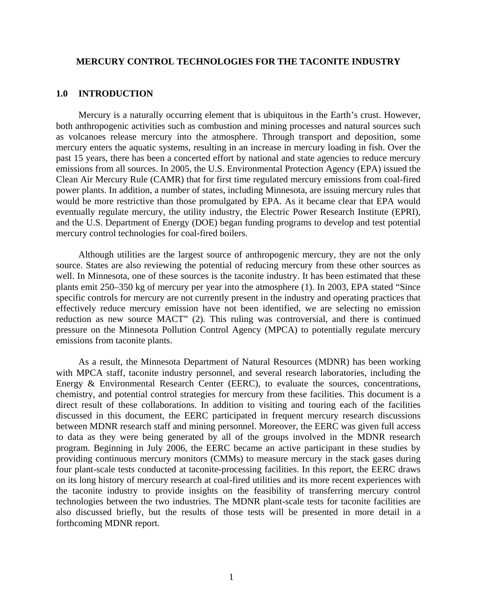#### **MERCURY CONTROL TECHNOLOGIES FOR THE TACONITE INDUSTRY**

#### **1.0 INTRODUCTION**

 Mercury is a naturally occurring element that is ubiquitous in the Earth's crust. However, both anthropogenic activities such as combustion and mining processes and natural sources such as volcanoes release mercury into the atmosphere. Through transport and deposition, some mercury enters the aquatic systems, resulting in an increase in mercury loading in fish. Over the past 15 years, there has been a concerted effort by national and state agencies to reduce mercury emissions from all sources. In 2005, the U.S. Environmental Protection Agency (EPA) issued the Clean Air Mercury Rule (CAMR) that for first time regulated mercury emissions from coal-fired power plants. In addition, a number of states, including Minnesota, are issuing mercury rules that would be more restrictive than those promulgated by EPA. As it became clear that EPA would eventually regulate mercury, the utility industry, the Electric Power Research Institute (EPRI), and the U.S. Department of Energy (DOE) began funding programs to develop and test potential mercury control technologies for coal-fired boilers.

 Although utilities are the largest source of anthropogenic mercury, they are not the only source. States are also reviewing the potential of reducing mercury from these other sources as well. In Minnesota, one of these sources is the taconite industry. It has been estimated that these plants emit 250–350 kg of mercury per year into the atmosphere (1). In 2003, EPA stated "Since specific controls for mercury are not currently present in the industry and operating practices that effectively reduce mercury emission have not been identified, we are selecting no emission reduction as new source MACT" (2)*.* This ruling was controversial, and there is continued pressure on the Minnesota Pollution Control Agency (MPCA) to potentially regulate mercury emissions from taconite plants.

 As a result, the Minnesota Department of Natural Resources (MDNR) has been working with MPCA staff, taconite industry personnel, and several research laboratories, including the Energy & Environmental Research Center (EERC), to evaluate the sources, concentrations, chemistry, and potential control strategies for mercury from these facilities. This document is a direct result of these collaborations. In addition to visiting and touring each of the facilities discussed in this document, the EERC participated in frequent mercury research discussions between MDNR research staff and mining personnel. Moreover, the EERC was given full access to data as they were being generated by all of the groups involved in the MDNR research program. Beginning in July 2006, the EERC became an active participant in these studies by providing continuous mercury monitors (CMMs) to measure mercury in the stack gases during four plant-scale tests conducted at taconite-processing facilities. In this report, the EERC draws on its long history of mercury research at coal-fired utilities and its more recent experiences with the taconite industry to provide insights on the feasibility of transferring mercury control technologies between the two industries. The MDNR plant-scale tests for taconite facilities are also discussed briefly, but the results of those tests will be presented in more detail in a forthcoming MDNR report.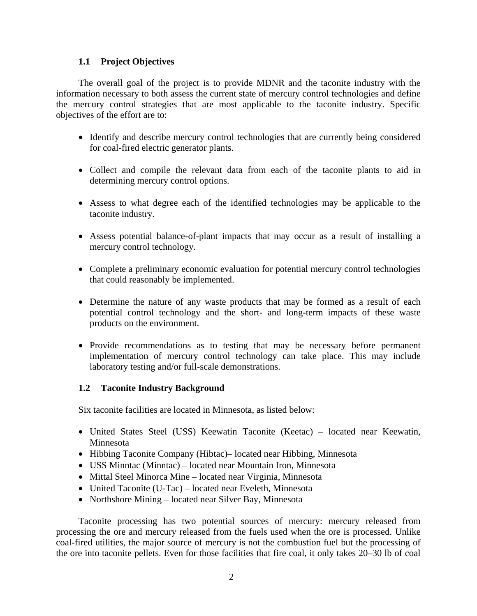#### **1.1 Project Objectives**

 The overall goal of the project is to provide MDNR and the taconite industry with the information necessary to both assess the current state of mercury control technologies and define the mercury control strategies that are most applicable to the taconite industry. Specific objectives of the effort are to:

- Identify and describe mercury control technologies that are currently being considered for coal-fired electric generator plants.
- Collect and compile the relevant data from each of the taconite plants to aid in determining mercury control options.
- Assess to what degree each of the identified technologies may be applicable to the taconite industry.
- Assess potential balance-of-plant impacts that may occur as a result of installing a mercury control technology.
- Complete a preliminary economic evaluation for potential mercury control technologies that could reasonably be implemented.
- Determine the nature of any waste products that may be formed as a result of each potential control technology and the short- and long-term impacts of these waste products on the environment.
- Provide recommendations as to testing that may be necessary before permanent implementation of mercury control technology can take place. This may include laboratory testing and/or full-scale demonstrations.

## **1.2 Taconite Industry Background**

Six taconite facilities are located in Minnesota, as listed below:

- United States Steel (USS) Keewatin Taconite (Keetac) located near Keewatin, Minnesota
- Hibbing Taconite Company (Hibtac)– located near Hibbing, Minnesota
- USS Minntac (Minntac) located near Mountain Iron, Minnesota
- Mittal Steel Minorca Mine located near Virginia, Minnesota
- United Taconite (U-Tac) located near Eveleth, Minnesota
- Northshore Mining located near Silver Bay, Minnesota

 Taconite processing has two potential sources of mercury: mercury released from processing the ore and mercury released from the fuels used when the ore is processed. Unlike coal-fired utilities, the major source of mercury is not the combustion fuel but the processing of the ore into taconite pellets. Even for those facilities that fire coal, it only takes 20–30 lb of coal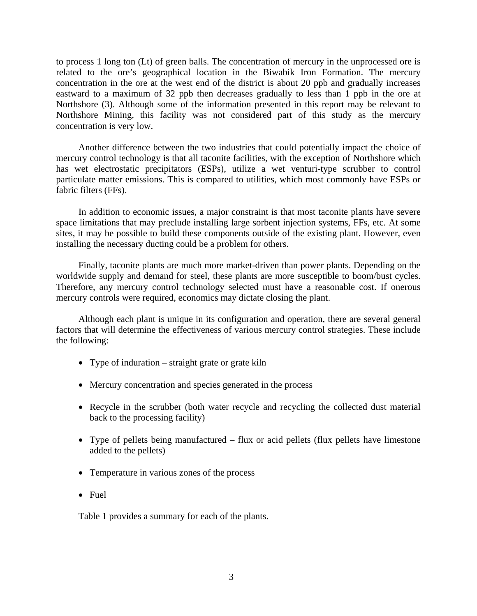to process 1 long ton (Lt) of green balls. The concentration of mercury in the unprocessed ore is related to the ore's geographical location in the Biwabik Iron Formation. The mercury concentration in the ore at the west end of the district is about 20 ppb and gradually increases eastward to a maximum of 32 ppb then decreases gradually to less than 1 ppb in the ore at Northshore (3). Although some of the information presented in this report may be relevant to Northshore Mining, this facility was not considered part of this study as the mercury concentration is very low.

 Another difference between the two industries that could potentially impact the choice of mercury control technology is that all taconite facilities, with the exception of Northshore which has wet electrostatic precipitators (ESPs), utilize a wet venturi-type scrubber to control particulate matter emissions. This is compared to utilities, which most commonly have ESPs or fabric filters (FFs).

 In addition to economic issues, a major constraint is that most taconite plants have severe space limitations that may preclude installing large sorbent injection systems, FFs, etc. At some sites, it may be possible to build these components outside of the existing plant. However, even installing the necessary ducting could be a problem for others.

 Finally, taconite plants are much more market-driven than power plants. Depending on the worldwide supply and demand for steel, these plants are more susceptible to boom/bust cycles. Therefore, any mercury control technology selected must have a reasonable cost. If onerous mercury controls were required, economics may dictate closing the plant.

 Although each plant is unique in its configuration and operation, there are several general factors that will determine the effectiveness of various mercury control strategies. These include the following:

- Type of induration straight grate or grate kiln
- Mercury concentration and species generated in the process
- Recycle in the scrubber (both water recycle and recycling the collected dust material back to the processing facility)
- Type of pellets being manufactured flux or acid pellets (flux pellets have limestone added to the pellets)
- Temperature in various zones of the process
- Fuel

Table 1 provides a summary for each of the plants.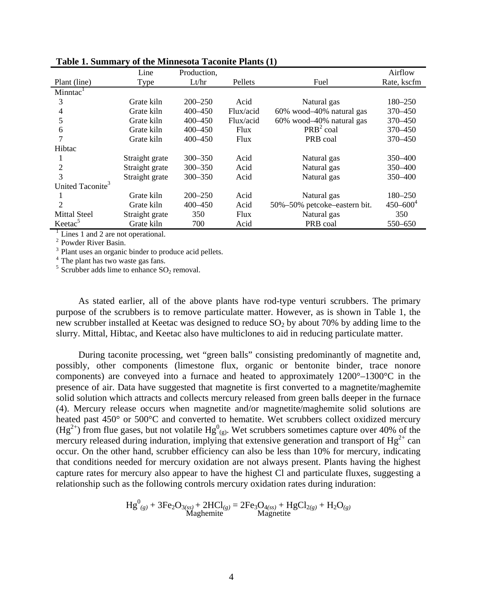| Line           | Production, |             |                              | Airflow       |
|----------------|-------------|-------------|------------------------------|---------------|
| <b>Type</b>    | Lt/hr       | Pellets     | Fuel                         | Rate, kscfm   |
|                |             |             |                              |               |
| Grate kiln     | $200 - 250$ | Acid        | Natural gas                  | 180–250       |
| Grate kiln     | $400 - 450$ | Flux/acid   | 60% wood-40% natural gas     | 370 - 450     |
| Grate kiln     | $400 - 450$ | Flux/acid   | 60% wood-40% natural gas     | 370 - 450     |
| Grate kiln     | $400 - 450$ | Flux        | $PRB2$ coal                  | 370 - 450     |
| Grate kiln     | $400 - 450$ | <b>Flux</b> | PRB coal                     | 370 - 450     |
|                |             |             |                              |               |
| Straight grate | $300 - 350$ | Acid        | Natural gas                  | 350 - 400     |
| Straight grate | $300 - 350$ | Acid        | Natural gas                  | 350-400       |
| Straight grate | $300 - 350$ | Acid        | Natural gas                  | 350-400       |
|                |             |             |                              |               |
| Grate kiln     | $200 - 250$ | Acid        | Natural gas                  | $180 - 250$   |
| Grate kiln     | 400 - 450   | Acid        | 50%-50% petcoke-eastern bit. | $450 - 600^4$ |
| Straight grate | 350         | <b>Flux</b> | Natural gas                  | 350           |
| Grate kiln     | 700         | Acid        | PRB coal                     | 550-650       |
|                |             |             |                              |               |

**Table 1. Summary of the Minnesota Taconite Plants (1)** 

 $\frac{1}{1}$  Lines 1 and 2 are not operational.

<sup>2</sup> Powder River Basin.

<sup>3</sup> Plant uses an organic binder to produce acid pellets.

<sup>4</sup> The plant has two waste gas fans.

 $5$  Scrubber adds lime to enhance  $SO<sub>2</sub>$  removal.

 As stated earlier, all of the above plants have rod-type venturi scrubbers. The primary purpose of the scrubbers is to remove particulate matter. However, as is shown in Table 1, the new scrubber installed at Keetac was designed to reduce  $SO_2$  by about 70% by adding lime to the slurry. Mittal, Hibtac, and Keetac also have multiclones to aid in reducing particulate matter.

 During taconite processing, wet "green balls" consisting predominantly of magnetite and, possibly, other components (limestone flux, organic or bentonite binder, trace nonore components) are conveyed into a furnace and heated to approximately 1200°–1300°C in the presence of air. Data have suggested that magnetite is first converted to a magnetite/maghemite solid solution which attracts and collects mercury released from green balls deeper in the furnace (4). Mercury release occurs when magnetite and/or magnetite/maghemite solid solutions are heated past 450° or 500°C and converted to hematite. Wet scrubbers collect oxidized mercury  $(Hg^{2+})$  from flue gases, but not volatile  $Hg^{0}_{(g)}$ . Wet scrubbers sometimes capture over 40% of the mercury released during induration, implying that extensive generation and transport of  $Hg^{2+}$  can occur. On the other hand, scrubber efficiency can also be less than 10% for mercury, indicating that conditions needed for mercury oxidation are not always present. Plants having the highest capture rates for mercury also appear to have the highest Cl and particulate fluxes, suggesting a relationship such as the following controls mercury oxidation rates during induration:

$$
Hg^{0}_{(g)} + 3Fe_{2}O_{3(ss)} + 2HCl_{(g)} = 2Fe_{3}O_{4(ss)} + HgCl_{2(g)} + H_{2}O_{(g)}
$$
  
Magnetic Magnetic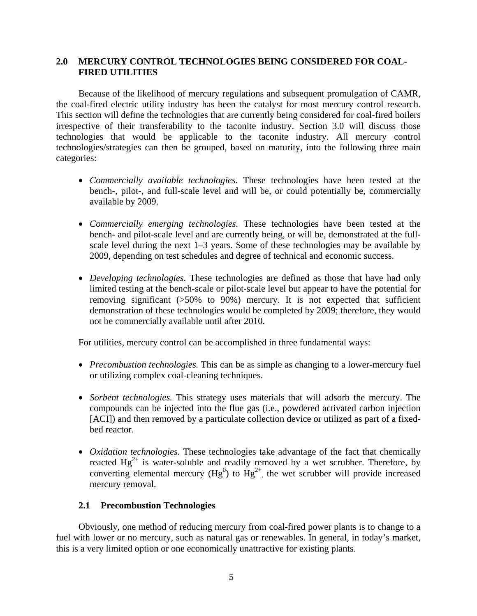### **2.0 MERCURY CONTROL TECHNOLOGIES BEING CONSIDERED FOR COAL- FIRED UTILITIES**

 Because of the likelihood of mercury regulations and subsequent promulgation of CAMR, the coal-fired electric utility industry has been the catalyst for most mercury control research. This section will define the technologies that are currently being considered for coal-fired boilers irrespective of their transferability to the taconite industry. Section 3.0 will discuss those technologies that would be applicable to the taconite industry. All mercury control technologies/strategies can then be grouped, based on maturity, into the following three main categories:

- *Commercially available technologies.* These technologies have been tested at the bench-, pilot-, and full-scale level and will be, or could potentially be, commercially available by 2009.
- *Commercially emerging technologies.* These technologies have been tested at the bench- and pilot-scale level and are currently being, or will be, demonstrated at the fullscale level during the next 1–3 years. Some of these technologies may be available by 2009, depending on test schedules and degree of technical and economic success.
- *Developing technologies*. These technologies are defined as those that have had only limited testing at the bench-scale or pilot-scale level but appear to have the potential for removing significant (>50% to 90%) mercury. It is not expected that sufficient demonstration of these technologies would be completed by 2009; therefore, they would not be commercially available until after 2010.

For utilities, mercury control can be accomplished in three fundamental ways:

- *Precombustion technologies.* This can be as simple as changing to a lower-mercury fuel or utilizing complex coal-cleaning techniques.
- *Sorbent technologies.* This strategy uses materials that will adsorb the mercury. The compounds can be injected into the flue gas (i.e., powdered activated carbon injection [ACI]) and then removed by a particulate collection device or utilized as part of a fixedbed reactor.
- *Oxidation technologies.* These technologies take advantage of the fact that chemically reacted  $Hg^{2+}$  is water-soluble and readily removed by a wet scrubber. Therefore, by converting elemental mercury ( $Hg^{0}$ ) to  $Hg^{2+}$ , the wet scrubber will provide increased mercury removal.

#### **2.1 Precombustion Technologies**

 Obviously, one method of reducing mercury from coal-fired power plants is to change to a fuel with lower or no mercury, such as natural gas or renewables. In general, in today's market, this is a very limited option or one economically unattractive for existing plants.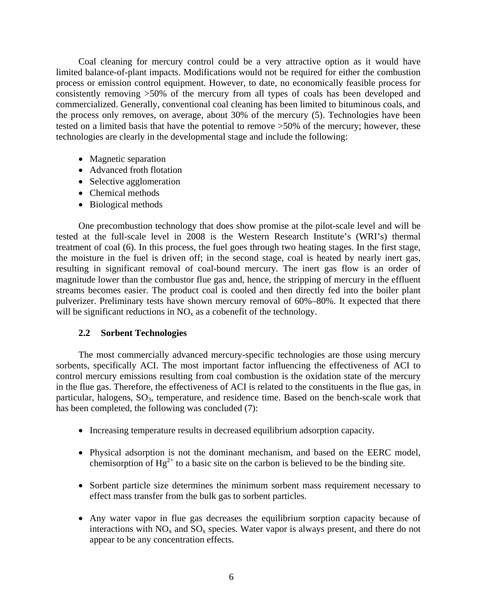Coal cleaning for mercury control could be a very attractive option as it would have limited balance-of-plant impacts. Modifications would not be required for either the combustion process or emission control equipment. However, to date, no economically feasible process for consistently removing >50% of the mercury from all types of coals has been developed and commercialized. Generally, conventional coal cleaning has been limited to bituminous coals, and the process only removes, on average, about 30% of the mercury (5). Technologies have been tested on a limited basis that have the potential to remove >50% of the mercury; however, these technologies are clearly in the developmental stage and include the following:

- Magnetic separation
- Advanced froth flotation
- Selective agglomeration
- Chemical methods
- Biological methods

 One precombustion technology that does show promise at the pilot-scale level and will be tested at the full-scale level in 2008 is the Western Research Institute's (WRI's) thermal treatment of coal (6). In this process, the fuel goes through two heating stages. In the first stage, the moisture in the fuel is driven off; in the second stage, coal is heated by nearly inert gas, resulting in significant removal of coal-bound mercury. The inert gas flow is an order of magnitude lower than the combustor flue gas and, hence, the stripping of mercury in the effluent streams becomes easier. The product coal is cooled and then directly fed into the boiler plant pulverizer. Preliminary tests have shown mercury removal of 60%–80%. It expected that there will be significant reductions in  $NO<sub>x</sub>$  as a cobenefit of the technology.

## **2.2 Sorbent Technologies**

 The most commercially advanced mercury-specific technologies are those using mercury sorbents, specifically ACI. The most important factor influencing the effectiveness of ACI to control mercury emissions resulting from coal combustion is the oxidation state of the mercury in the flue gas. Therefore, the effectiveness of ACI is related to the constituents in the flue gas, in particular, halogens, SO<sub>3</sub>, temperature, and residence time. Based on the bench-scale work that has been completed, the following was concluded (7):

- Increasing temperature results in decreased equilibrium adsorption capacity.
- Physical adsorption is not the dominant mechanism, and based on the EERC model, chemisorption of  $Hg^{2+}$  to a basic site on the carbon is believed to be the binding site.
- Sorbent particle size determines the minimum sorbent mass requirement necessary to effect mass transfer from the bulk gas to sorbent particles.
- Any water vapor in flue gas decreases the equilibrium sorption capacity because of interactions with  $NO<sub>x</sub>$  and  $SO<sub>x</sub>$  species. Water vapor is always present, and there do not appear to be any concentration effects.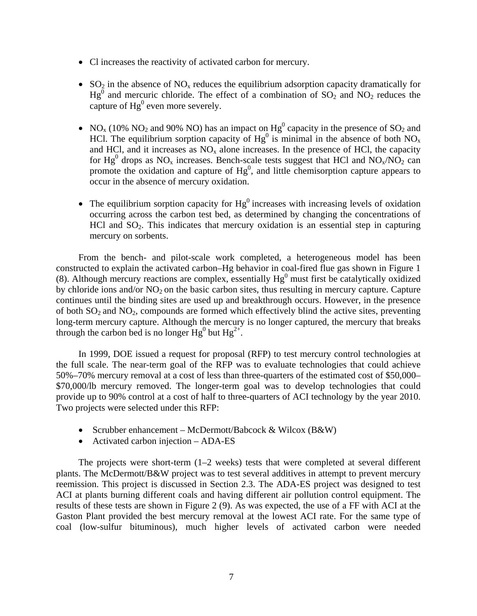- Cl increases the reactivity of activated carbon for mercury.
- $SO_2$  in the absence of  $NO_x$  reduces the equilibrium adsorption capacity dramatically for  $Hg<sup>0</sup>$  and mercuric chloride. The effect of a combination of SO<sub>2</sub> and NO<sub>2</sub> reduces the capture of  $Hg^0$  even more severely.
- NO<sub>x</sub> (10% NO<sub>2</sub> and 90% NO) has an impact on  $Hg^0$  capacity in the presence of SO<sub>2</sub> and HCl. The equilibrium sorption capacity of  $Hg^0$  is minimal in the absence of both NO<sub>x</sub> and HCl, and it increases as  $NO<sub>x</sub>$  alone increases. In the presence of HCl, the capacity for Hg<sup>0</sup> drops as NO<sub>x</sub> increases. Bench-scale tests suggest that HCl and NO<sub>x</sub>/NO<sub>2</sub> can promote the oxidation and capture of  $Hg<sup>0</sup>$ , and little chemisorption capture appears to occur in the absence of mercury oxidation.
- The equilibrium sorption capacity for  $Hg^0$  increases with increasing levels of oxidation occurring across the carbon test bed, as determined by changing the concentrations of HCl and SO2. This indicates that mercury oxidation is an essential step in capturing mercury on sorbents.

 From the bench- and pilot-scale work completed, a heterogeneous model has been constructed to explain the activated carbon–Hg behavior in coal-fired flue gas shown in Figure 1  $(8)$ . Although mercury reactions are complex, essentially  $Hg<sup>0</sup>$  must first be catalytically oxidized by chloride ions and/or  $NO<sub>2</sub>$  on the basic carbon sites, thus resulting in mercury capture. Capture continues until the binding sites are used up and breakthrough occurs. However, in the presence of both  $SO_2$  and  $NO_2$ , compounds are formed which effectively blind the active sites, preventing long-term mercury capture. Although the mercury is no longer captured, the mercury that breaks through the carbon bed is no longer  $Hg^0$  but  $Hg^{2+}$ .

 In 1999, DOE issued a request for proposal (RFP) to test mercury control technologies at the full scale. The near-term goal of the RFP was to evaluate technologies that could achieve 50%–70% mercury removal at a cost of less than three-quarters of the estimated cost of \$50,000– \$70,000/lb mercury removed. The longer-term goal was to develop technologies that could provide up to 90% control at a cost of half to three-quarters of ACI technology by the year 2010. Two projects were selected under this RFP:

- Scrubber enhancement McDermott/Babcock & Wilcox (B&W)
- Activated carbon injection ADA-ES

 The projects were short-term (1–2 weeks) tests that were completed at several different plants. The McDermott/B&W project was to test several additives in attempt to prevent mercury reemission. This project is discussed in Section 2.3. The ADA-ES project was designed to test ACI at plants burning different coals and having different air pollution control equipment. The results of these tests are shown in Figure 2 (9). As was expected, the use of a FF with ACI at the Gaston Plant provided the best mercury removal at the lowest ACI rate. For the same type of coal (low-sulfur bituminous), much higher levels of activated carbon were needed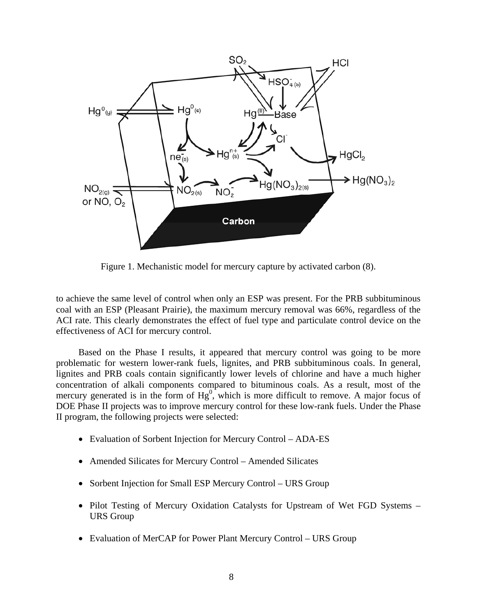

Figure 1. Mechanistic model for mercury capture by activated carbon (8).

to achieve the same level of control when only an ESP was present. For the PRB subbituminous coal with an ESP (Pleasant Prairie), the maximum mercury removal was 66%, regardless of the ACI rate. This clearly demonstrates the effect of fuel type and particulate control device on the effectiveness of ACI for mercury control.

 Based on the Phase I results, it appeared that mercury control was going to be more problematic for western lower-rank fuels, lignites, and PRB subbituminous coals. In general, lignites and PRB coals contain significantly lower levels of chlorine and have a much higher concentration of alkali components compared to bituminous coals. As a result, most of the mercury generated is in the form of  $Hg^0$ , which is more difficult to remove. A major focus of DOE Phase II projects was to improve mercury control for these low-rank fuels. Under the Phase II program, the following projects were selected:

- Evaluation of Sorbent Injection for Mercury Control ADA-ES
- Amended Silicates for Mercury Control Amended Silicates
- Sorbent Injection for Small ESP Mercury Control URS Group
- Pilot Testing of Mercury Oxidation Catalysts for Upstream of Wet FGD Systems URS Group
- Evaluation of MerCAP for Power Plant Mercury Control URS Group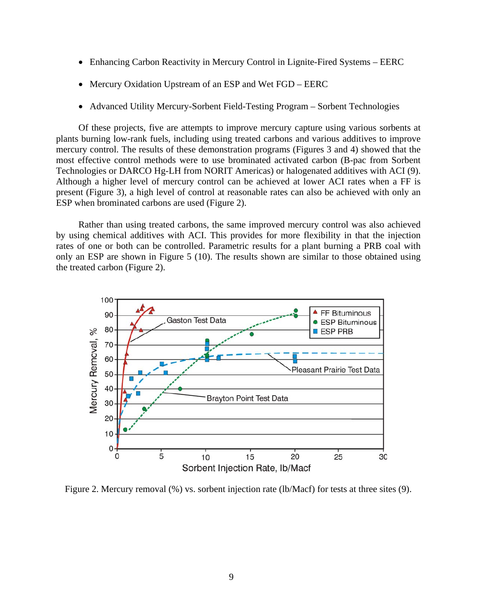- Enhancing Carbon Reactivity in Mercury Control in Lignite-Fired Systems EERC
- Mercury Oxidation Upstream of an ESP and Wet FGD EERC
- Advanced Utility Mercury-Sorbent Field-Testing Program Sorbent Technologies

 Of these projects, five are attempts to improve mercury capture using various sorbents at plants burning low-rank fuels, including using treated carbons and various additives to improve mercury control. The results of these demonstration programs (Figures 3 and 4) showed that the most effective control methods were to use brominated activated carbon (B-pac from Sorbent Technologies or DARCO Hg-LH from NORIT Americas) or halogenated additives with ACI (9). Although a higher level of mercury control can be achieved at lower ACI rates when a FF is present (Figure 3), a high level of control at reasonable rates can also be achieved with only an ESP when brominated carbons are used (Figure 2).

 Rather than using treated carbons, the same improved mercury control was also achieved by using chemical additives with ACI. This provides for more flexibility in that the injection rates of one or both can be controlled. Parametric results for a plant burning a PRB coal with only an ESP are shown in Figure 5 (10). The results shown are similar to those obtained using the treated carbon (Figure 2).



Figure 2. Mercury removal (%) vs. sorbent injection rate (lb/Macf) for tests at three sites (9).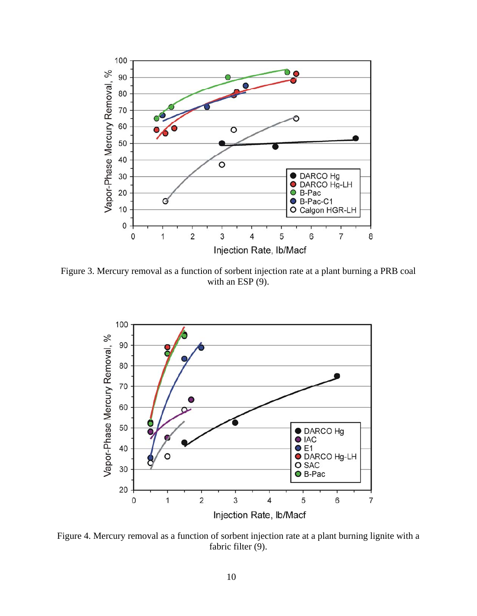

Figure 3. Mercury removal as a function of sorbent injection rate at a plant burning a PRB coal with an ESP  $(9)$ .



Figure 4. Mercury removal as a function of sorbent injection rate at a plant burning lignite with a fabric filter (9).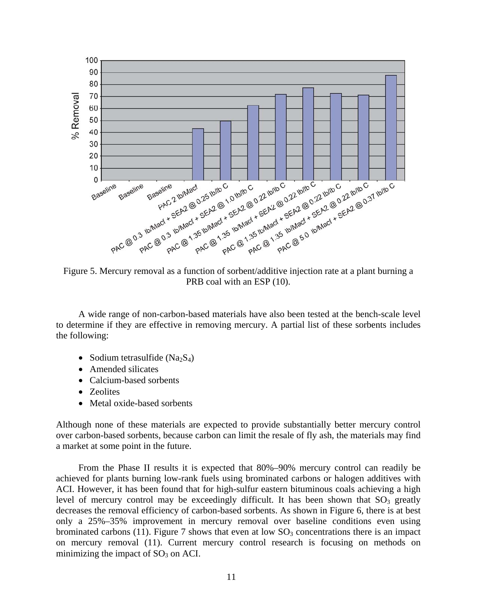

Figure 5. Mercury removal as a function of sorbent/additive injection rate at a plant burning a PRB coal with an ESP  $(10)$ .

 A wide range of non-carbon-based materials have also been tested at the bench-scale level to determine if they are effective in removing mercury. A partial list of these sorbents includes the following:

- Sodium tetrasulfide  $(Na_2S_4)$
- Amended silicates
- Calcium-based sorbents
- Zeolites
- Metal oxide-based sorbents

Although none of these materials are expected to provide substantially better mercury control over carbon-based sorbents, because carbon can limit the resale of fly ash, the materials may find a market at some point in the future.

 From the Phase II results it is expected that 80%–90% mercury control can readily be achieved for plants burning low-rank fuels using brominated carbons or halogen additives with ACI. However, it has been found that for high-sulfur eastern bituminous coals achieving a high level of mercury control may be exceedingly difficult. It has been shown that  $SO_3$  greatly decreases the removal efficiency of carbon-based sorbents. As shown in Figure 6, there is at best only a 25%–35% improvement in mercury removal over baseline conditions even using brominated carbons (11). Figure 7 shows that even at low  $SO_3$  concentrations there is an impact on mercury removal (11). Current mercury control research is focusing on methods on minimizing the impact of  $SO<sub>3</sub>$  on ACI.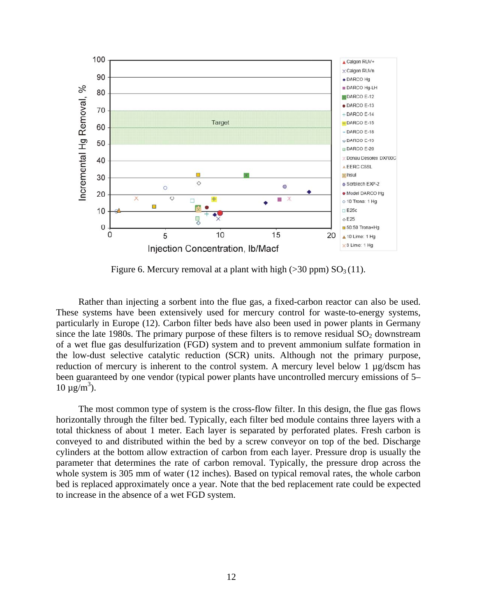

Figure 6. Mercury removal at a plant with high ( $>$ 30 ppm) SO<sub>3</sub> (11).

 Rather than injecting a sorbent into the flue gas, a fixed-carbon reactor can also be used. These systems have been extensively used for mercury control for waste-to-energy systems, particularly in Europe (12). Carbon filter beds have also been used in power plants in Germany since the late 1980s. The primary purpose of these filters is to remove residual  $SO<sub>2</sub>$  downstream of a wet flue gas desulfurization (FGD) system and to prevent ammonium sulfate formation in the low-dust selective catalytic reduction (SCR) units. Although not the primary purpose, reduction of mercury is inherent to the control system. A mercury level below 1 µg/dscm has been guaranteed by one vendor (typical power plants have uncontrolled mercury emissions of 5–  $10 \mu g/m^3$ ).

 The most common type of system is the cross-flow filter. In this design, the flue gas flows horizontally through the filter bed. Typically, each filter bed module contains three layers with a total thickness of about 1 meter. Each layer is separated by perforated plates. Fresh carbon is conveyed to and distributed within the bed by a screw conveyor on top of the bed. Discharge cylinders at the bottom allow extraction of carbon from each layer. Pressure drop is usually the parameter that determines the rate of carbon removal. Typically, the pressure drop across the whole system is 305 mm of water (12 inches). Based on typical removal rates, the whole carbon bed is replaced approximately once a year. Note that the bed replacement rate could be expected to increase in the absence of a wet FGD system.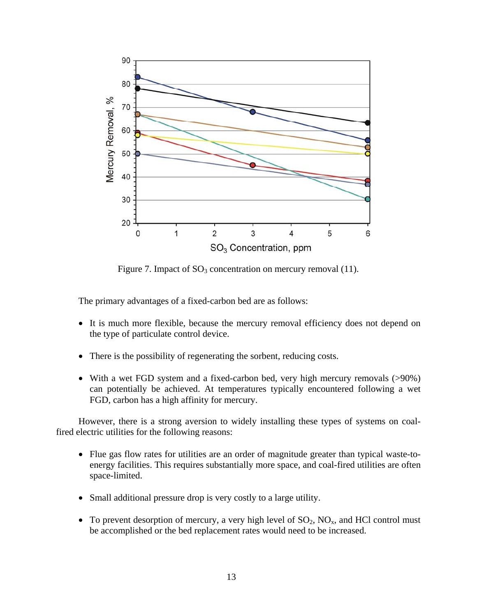

Figure 7. Impact of  $SO_3$  concentration on mercury removal (11).

The primary advantages of a fixed-carbon bed are as follows:

- It is much more flexible, because the mercury removal efficiency does not depend on the type of particulate control device.
- There is the possibility of regenerating the sorbent, reducing costs.
- With a wet FGD system and a fixed-carbon bed, very high mercury removals (>90%) can potentially be achieved. At temperatures typically encountered following a wet FGD, carbon has a high affinity for mercury.

 However, there is a strong aversion to widely installing these types of systems on coalfired electric utilities for the following reasons:

- Flue gas flow rates for utilities are an order of magnitude greater than typical waste-toenergy facilities. This requires substantially more space, and coal-fired utilities are often space-limited.
- Small additional pressure drop is very costly to a large utility.
- To prevent desorption of mercury, a very high level of  $SO_2$ ,  $NO_x$ , and HCl control must be accomplished or the bed replacement rates would need to be increased.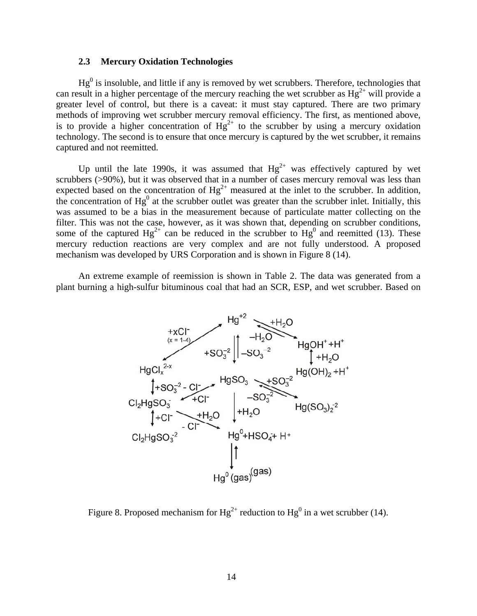#### **2.3 Mercury Oxidation Technologies**

 $Hg<sup>0</sup>$  is insoluble, and little if any is removed by wet scrubbers. Therefore, technologies that can result in a higher percentage of the mercury reaching the wet scrubber as  $Hg^{2+}$  will provide a greater level of control, but there is a caveat: it must stay captured. There are two primary methods of improving wet scrubber mercury removal efficiency. The first, as mentioned above, is to provide a higher concentration of  $Hg^{2+}$  to the scrubber by using a mercury oxidation technology. The second is to ensure that once mercury is captured by the wet scrubber, it remains captured and not reemitted.

Up until the late 1990s, it was assumed that  $Hg^{2+}$  was effectively captured by wet scrubbers ( $>90\%$ ), but it was observed that in a number of cases mercury removal was less than expected based on the concentration of  $Hg^{2+}$  measured at the inlet to the scrubber. In addition, the concentration of  $Hg^0$  at the scrubber outlet was greater than the scrubber inlet. Initially, this was assumed to be a bias in the measurement because of particulate matter collecting on the filter. This was not the case, however, as it was shown that, depending on scrubber conditions, some of the captured  $Hg^{2+}$  can be reduced in the scrubber to  $Hg^0$  and reemitted (13). These mercury reduction reactions are very complex and are not fully understood. A proposed mechanism was developed by URS Corporation and is shown in Figure 8 (14).

 An extreme example of reemission is shown in Table 2. The data was generated from a plant burning a high-sulfur bituminous coal that had an SCR, ESP, and wet scrubber. Based on



Figure 8. Proposed mechanism for  $Hg^{2+}$  reduction to  $Hg^{0}$  in a wet scrubber (14).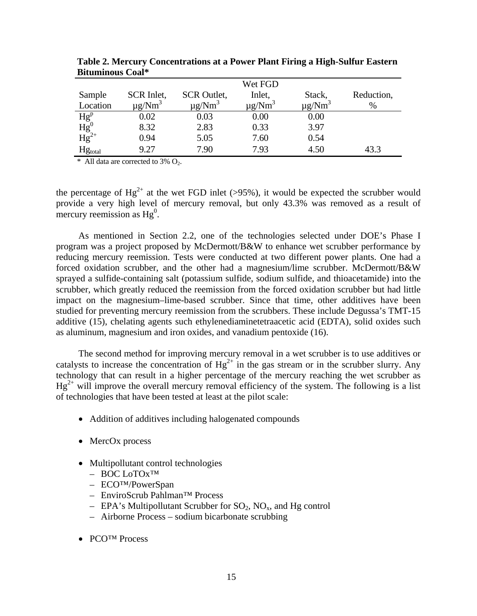|                                                                                        |                         |                         | Wet FGD                 |                         |            |
|----------------------------------------------------------------------------------------|-------------------------|-------------------------|-------------------------|-------------------------|------------|
| Sample                                                                                 | SCR Inlet,              | <b>SCR</b> Outlet,      | Inlet,                  | Stack,                  | Reduction, |
| Location                                                                               | $\mu$ g/Nm <sup>3</sup> | $\mu$ g/Nm <sup>3</sup> | $\mu$ g/Nm <sup>3</sup> | $\mu$ g/Nm <sup>3</sup> | %          |
| $\begin{array}{l} \overline{\mbox{Hg}^p} \\ \mbox{Hg}^0 \\ \mbox{Hg}^{2+} \end{array}$ | 0.02                    | 0.03                    | 0.00                    | 0.00                    |            |
|                                                                                        | 8.32                    | 2.83                    | 0.33                    | 3.97                    |            |
|                                                                                        | 0.94                    | 5.05                    | 7.60                    | 0.54                    |            |
| Hgtotal                                                                                | 9.27                    | 7.90                    | 7.93                    | 4.50                    | 43.3       |

 **Table 2. Mercury Concentrations at a Power Plant Firing a High-Sulfur Eastern Bituminous Coal\*** 

\* All data are corrected to 3%  $O_2$ .

the percentage of  $Hg^{2+}$  at the wet FGD inlet (>95%), it would be expected the scrubber would provide a very high level of mercury removal, but only 43.3% was removed as a result of mercury reemission as  $Hg^0$ .

As mentioned in Section 2.2, one of the technologies selected under DOE's Phase I program was a project proposed by McDermott/B&W to enhance wet scrubber performance by reducing mercury reemission. Tests were conducted at two different power plants. One had a forced oxidation scrubber, and the other had a magnesium/lime scrubber. McDermott/B&W sprayed a sulfide-containing salt (potassium sulfide, sodium sulfide, and thioacetamide) into the scrubber, which greatly reduced the reemission from the forced oxidation scrubber but had little impact on the magnesium–lime-based scrubber. Since that time, other additives have been studied for preventing mercury reemission from the scrubbers. These include Degussa's TMT-15 additive (15), chelating agents such ethylenediaminetetraacetic acid (EDTA), solid oxides such as aluminum, magnesium and iron oxides, and vanadium pentoxide (16).

 The second method for improving mercury removal in a wet scrubber is to use additives or catalysts to increase the concentration of  $Hg^{2+}$  in the gas stream or in the scrubber slurry. Any technology that can result in a higher percentage of the mercury reaching the wet scrubber as  $He^{2+}$  will improve the overall mercury removal efficiency of the system. The following is a list of technologies that have been tested at least at the pilot scale:

- Addition of additives including halogenated compounds
- MercOx process
- Multipollutant control technologies
	- BOC LoTOx™
	- ECO™/PowerSpan
	- EnviroScrub Pahlman™ Process
	- EPA's Multipollutant Scrubber for  $SO_2$ ,  $NO_x$ , and Hg control
	- Airborne Process sodium bicarbonate scrubbing
- PCO™ Process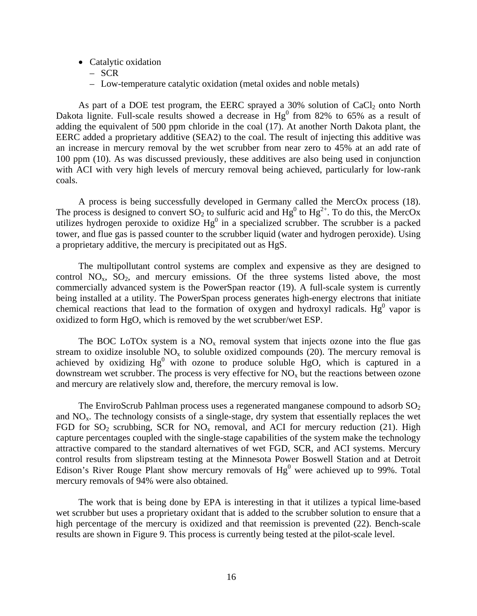- Catalytic oxidation
	- SCR
	- Low-temperature catalytic oxidation (metal oxides and noble metals)

As part of a DOE test program, the EERC sprayed a  $30\%$  solution of CaCl<sub>2</sub> onto North Dakota lignite. Full-scale results showed a decrease in  $Hg^0$  from 82% to 65% as a result of adding the equivalent of 500 ppm chloride in the coal (17). At another North Dakota plant, the EERC added a proprietary additive (SEA2) to the coal. The result of injecting this additive was an increase in mercury removal by the wet scrubber from near zero to 45% at an add rate of 100 ppm (10). As was discussed previously, these additives are also being used in conjunction with ACI with very high levels of mercury removal being achieved, particularly for low-rank coals.

A process is being successfully developed in Germany called the MercOx process (18). The process is designed to convert  $SO_2$  to sulfuric acid and  $Hg^0$  to  $Hg^{2+}$ . To do this, the MercOx utilizes hydrogen peroxide to oxidize  $Hg^0$  in a specialized scrubber. The scrubber is a packed tower, and flue gas is passed counter to the scrubber liquid (water and hydrogen peroxide). Using a proprietary additive, the mercury is precipitated out as HgS.

 The multipollutant control systems are complex and expensive as they are designed to control  $NO<sub>x</sub>$ ,  $SO<sub>2</sub>$ , and mercury emissions. Of the three systems listed above, the most commercially advanced system is the PowerSpan reactor (19). A full-scale system is currently being installed at a utility. The PowerSpan process generates high-energy electrons that initiate chemical reactions that lead to the formation of oxygen and hydroxyl radicals. Hg<sup>0</sup> vapor is oxidized to form HgO, which is removed by the wet scrubber/wet ESP.

The BOC LoTOx system is a  $NO<sub>x</sub>$  removal system that injects ozone into the flue gas stream to oxidize insoluble  $NO<sub>x</sub>$  to soluble oxidized compounds (20). The mercury removal is achieved by oxidizing  $Hg^0$  with ozone to produce soluble  $HgO$ , which is captured in a downstream wet scrubber. The process is very effective for  $NO<sub>x</sub>$  but the reactions between ozone and mercury are relatively slow and, therefore, the mercury removal is low.

The EnviroScrub Pahlman process uses a regenerated manganese compound to adsorb  $SO<sub>2</sub>$ and NOx. The technology consists of a single-stage, dry system that essentially replaces the wet FGD for  $SO_2$  scrubbing, SCR for  $NO_x$  removal, and ACI for mercury reduction (21). High capture percentages coupled with the single-stage capabilities of the system make the technology attractive compared to the standard alternatives of wet FGD, SCR, and ACI systems. Mercury control results from slipstream testing at the Minnesota Power Boswell Station and at Detroit Edison's River Rouge Plant show mercury removals of  $Hg<sup>0</sup>$  were achieved up to 99%. Total mercury removals of 94% were also obtained.

 The work that is being done by EPA is interesting in that it utilizes a typical lime-based wet scrubber but uses a proprietary oxidant that is added to the scrubber solution to ensure that a high percentage of the mercury is oxidized and that reemission is prevented (22). Bench-scale results are shown in Figure 9. This process is currently being tested at the pilot-scale level.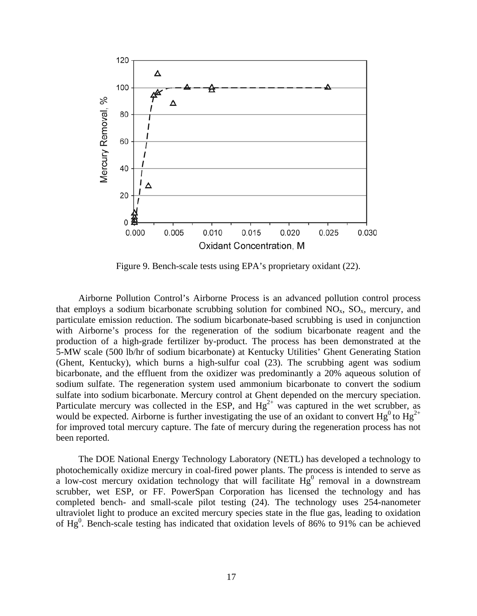

Figure 9. Bench-scale tests using EPA's proprietary oxidant (22).

 Airborne Pollution Control's Airborne Process is an advanced pollution control process that employs a sodium bicarbonate scrubbing solution for combined  $NO<sub>x</sub>$ ,  $SO<sub>x</sub>$ , mercury, and particulate emission reduction. The sodium bicarbonate-based scrubbing is used in conjunction with Airborne's process for the regeneration of the sodium bicarbonate reagent and the production of a high-grade fertilizer by-product. The process has been demonstrated at the 5-MW scale (500 lb/hr of sodium bicarbonate) at Kentucky Utilities' Ghent Generating Station (Ghent, Kentucky), which burns a high-sulfur coal (23). The scrubbing agent was sodium bicarbonate, and the effluent from the oxidizer was predominantly a 20% aqueous solution of sodium sulfate. The regeneration system used ammonium bicarbonate to convert the sodium sulfate into sodium bicarbonate. Mercury control at Ghent depended on the mercury speciation. Particulate mercury was collected in the ESP, and  $Hg^{2+}$  was captured in the wet scrubber, as would be expected. Airborne is further investigating the use of an oxidant to convert  $Hg^0$  to  $Hg^{2+}$ for improved total mercury capture. The fate of mercury during the regeneration process has not been reported.

 The DOE National Energy Technology Laboratory (NETL) has developed a technology to photochemically oxidize mercury in coal-fired power plants. The process is intended to serve as a low-cost mercury oxidation technology that will facilitate  $Hg^0$  removal in a downstream scrubber, wet ESP, or FF. PowerSpan Corporation has licensed the technology and has completed bench- and small-scale pilot testing (24). The technology uses 254-nanometer ultraviolet light to produce an excited mercury species state in the flue gas, leading to oxidation of  $Hg<sup>0</sup>$ . Bench-scale testing has indicated that oxidation levels of 86% to 91% can be achieved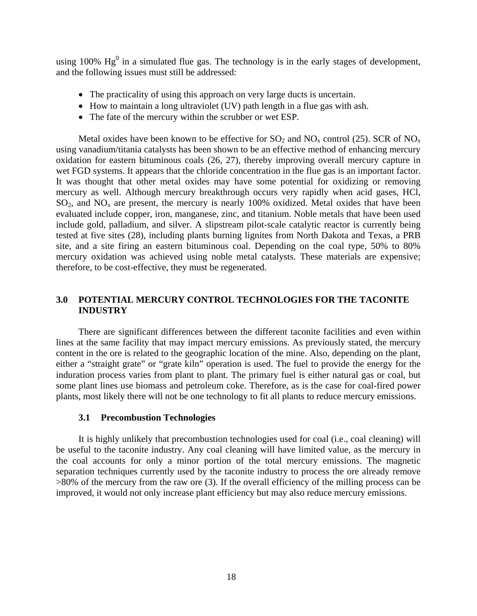using 100%  $Hg^0$  in a simulated flue gas. The technology is in the early stages of development, and the following issues must still be addressed:

- The practicality of using this approach on very large ducts is uncertain.
- How to maintain a long ultraviolet (UV) path length in a flue gas with ash.
- The fate of the mercury within the scrubber or wet ESP.

Metal oxides have been known to be effective for  $SO_2$  and  $NO_x$  control (25). SCR of  $NO_x$ using vanadium/titania catalysts has been shown to be an effective method of enhancing mercury oxidation for eastern bituminous coals (26, 27), thereby improving overall mercury capture in wet FGD systems. It appears that the chloride concentration in the flue gas is an important factor. It was thought that other metal oxides may have some potential for oxidizing or removing mercury as well. Although mercury breakthrough occurs very rapidly when acid gases, HCl,  $SO<sub>2</sub>$ , and  $NO<sub>x</sub>$  are present, the mercury is nearly 100% oxidized. Metal oxides that have been evaluated include copper, iron, manganese, zinc, and titanium. Noble metals that have been used include gold, palladium, and silver. A slipstream pilot-scale catalytic reactor is currently being tested at five sites (28), including plants burning lignites from North Dakota and Texas, a PRB site, and a site firing an eastern bituminous coal. Depending on the coal type, 50% to 80% mercury oxidation was achieved using noble metal catalysts. These materials are expensive; therefore, to be cost-effective, they must be regenerated.

## **3.0 POTENTIAL MERCURY CONTROL TECHNOLOGIES FOR THE TACONITE INDUSTRY**

 There are significant differences between the different taconite facilities and even within lines at the same facility that may impact mercury emissions. As previously stated, the mercury content in the ore is related to the geographic location of the mine. Also, depending on the plant, either a "straight grate" or "grate kiln" operation is used. The fuel to provide the energy for the induration process varies from plant to plant. The primary fuel is either natural gas or coal, but some plant lines use biomass and petroleum coke. Therefore, as is the case for coal-fired power plants, most likely there will not be one technology to fit all plants to reduce mercury emissions.

#### **3.1 Precombustion Technologies**

 It is highly unlikely that precombustion technologies used for coal (i.e., coal cleaning) will be useful to the taconite industry. Any coal cleaning will have limited value, as the mercury in the coal accounts for only a minor portion of the total mercury emissions. The magnetic separation techniques currently used by the taconite industry to process the ore already remove >80% of the mercury from the raw ore (3). If the overall efficiency of the milling process can be improved, it would not only increase plant efficiency but may also reduce mercury emissions.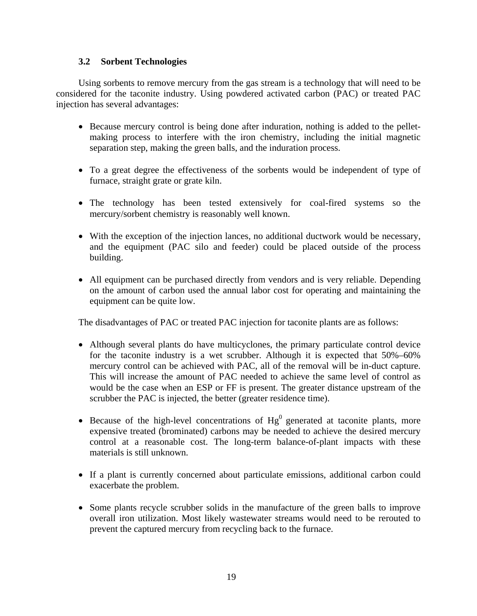#### **3.2 Sorbent Technologies**

 Using sorbents to remove mercury from the gas stream is a technology that will need to be considered for the taconite industry. Using powdered activated carbon (PAC) or treated PAC injection has several advantages:

- Because mercury control is being done after induration, nothing is added to the pelletmaking process to interfere with the iron chemistry, including the initial magnetic separation step, making the green balls, and the induration process.
- To a great degree the effectiveness of the sorbents would be independent of type of furnace, straight grate or grate kiln.
- The technology has been tested extensively for coal-fired systems so the mercury/sorbent chemistry is reasonably well known.
- With the exception of the injection lances, no additional ductwork would be necessary, and the equipment (PAC silo and feeder) could be placed outside of the process building.
- All equipment can be purchased directly from vendors and is very reliable. Depending on the amount of carbon used the annual labor cost for operating and maintaining the equipment can be quite low.

The disadvantages of PAC or treated PAC injection for taconite plants are as follows:

- Although several plants do have multicyclones, the primary particulate control device for the taconite industry is a wet scrubber. Although it is expected that 50%–60% mercury control can be achieved with PAC, all of the removal will be in-duct capture. This will increase the amount of PAC needed to achieve the same level of control as would be the case when an ESP or FF is present. The greater distance upstream of the scrubber the PAC is injected, the better (greater residence time).
- Because of the high-level concentrations of  $Hg^0$  generated at taconite plants, more expensive treated (brominated) carbons may be needed to achieve the desired mercury control at a reasonable cost. The long-term balance-of-plant impacts with these materials is still unknown.
- If a plant is currently concerned about particulate emissions, additional carbon could exacerbate the problem.
- Some plants recycle scrubber solids in the manufacture of the green balls to improve overall iron utilization. Most likely wastewater streams would need to be rerouted to prevent the captured mercury from recycling back to the furnace.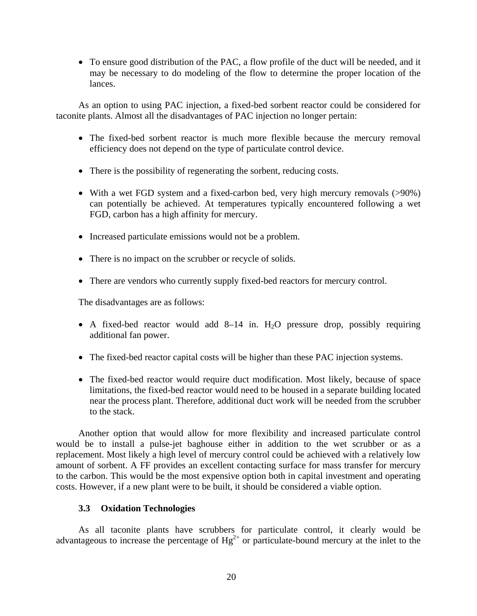• To ensure good distribution of the PAC, a flow profile of the duct will be needed, and it may be necessary to do modeling of the flow to determine the proper location of the lances.

 As an option to using PAC injection, a fixed-bed sorbent reactor could be considered for taconite plants. Almost all the disadvantages of PAC injection no longer pertain:

- The fixed-bed sorbent reactor is much more flexible because the mercury removal efficiency does not depend on the type of particulate control device.
- There is the possibility of regenerating the sorbent, reducing costs.
- With a wet FGD system and a fixed-carbon bed, very high mercury removals (>90%) can potentially be achieved. At temperatures typically encountered following a wet FGD, carbon has a high affinity for mercury.
- Increased particulate emissions would not be a problem.
- There is no impact on the scrubber or recycle of solids.
- There are vendors who currently supply fixed-bed reactors for mercury control.

The disadvantages are as follows:

- A fixed-bed reactor would add  $8-14$  in.  $H<sub>2</sub>O$  pressure drop, possibly requiring additional fan power.
- The fixed-bed reactor capital costs will be higher than these PAC injection systems.
- The fixed-bed reactor would require duct modification. Most likely, because of space limitations, the fixed-bed reactor would need to be housed in a separate building located near the process plant. Therefore, additional duct work will be needed from the scrubber to the stack.

 Another option that would allow for more flexibility and increased particulate control would be to install a pulse-jet baghouse either in addition to the wet scrubber or as a replacement. Most likely a high level of mercury control could be achieved with a relatively low amount of sorbent. A FF provides an excellent contacting surface for mass transfer for mercury to the carbon. This would be the most expensive option both in capital investment and operating costs. However, if a new plant were to be built, it should be considered a viable option.

#### **3.3 Oxidation Technologies**

 As all taconite plants have scrubbers for particulate control, it clearly would be advantageous to increase the percentage of  $Hg^{2+}$  or particulate-bound mercury at the inlet to the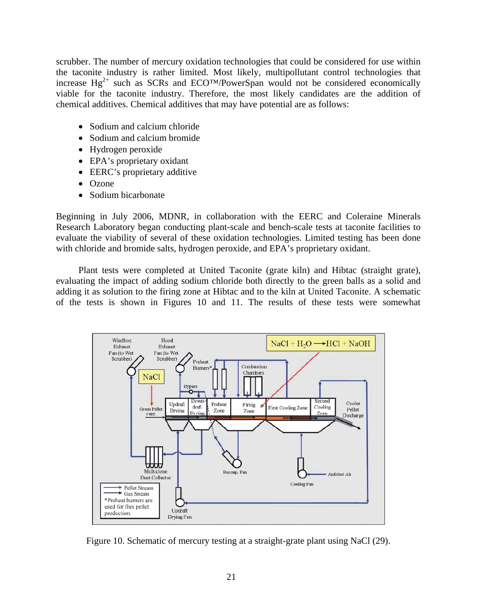scrubber. The number of mercury oxidation technologies that could be considered for use within the taconite industry is rather limited. Most likely, multipollutant control technologies that increase  $Hg^{2+}$  such as SCRs and ECO<sup>TM</sup>/PowerSpan would not be considered economically viable for the taconite industry. Therefore, the most likely candidates are the addition of chemical additives. Chemical additives that may have potential are as follows:

- Sodium and calcium chloride
- Sodium and calcium bromide
- Hydrogen peroxide
- EPA's proprietary oxidant
- EERC's proprietary additive
- Ozone
- Sodium bicarbonate

Beginning in July 2006, MDNR, in collaboration with the EERC and Coleraine Minerals Research Laboratory began conducting plant-scale and bench-scale tests at taconite facilities to evaluate the viability of several of these oxidation technologies. Limited testing has been done with chloride and bromide salts, hydrogen peroxide, and EPA's proprietary oxidant.

 Plant tests were completed at United Taconite (grate kiln) and Hibtac (straight grate), evaluating the impact of adding sodium chloride both directly to the green balls as a solid and adding it as solution to the firing zone at Hibtac and to the kiln at United Taconite. A schematic of the tests is shown in Figures 10 and 11. The results of these tests were somewhat



Figure 10. Schematic of mercury testing at a straight-grate plant using NaCl (29).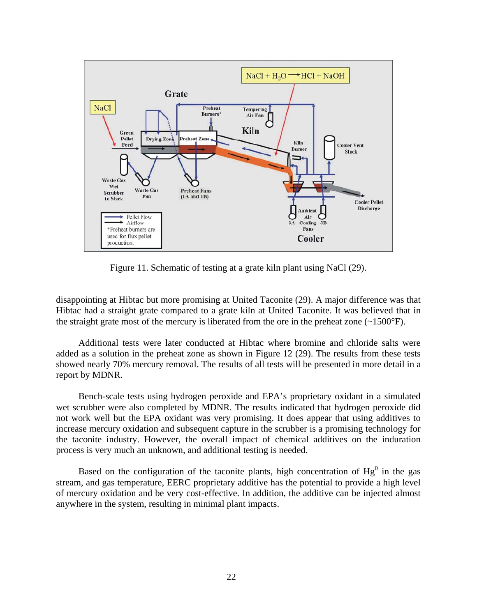

Figure 11. Schematic of testing at a grate kiln plant using NaCl (29).

disappointing at Hibtac but more promising at United Taconite (29). A major difference was that Hibtac had a straight grate compared to a grate kiln at United Taconite. It was believed that in the straight grate most of the mercury is liberated from the ore in the preheat zone  $(\sim 1500^{\circ}F)$ .

 Additional tests were later conducted at Hibtac where bromine and chloride salts were added as a solution in the preheat zone as shown in Figure 12 (29). The results from these tests showed nearly 70% mercury removal. The results of all tests will be presented in more detail in a report by MDNR.

 Bench-scale tests using hydrogen peroxide and EPA's proprietary oxidant in a simulated wet scrubber were also completed by MDNR. The results indicated that hydrogen peroxide did not work well but the EPA oxidant was very promising. It does appear that using additives to increase mercury oxidation and subsequent capture in the scrubber is a promising technology for the taconite industry. However, the overall impact of chemical additives on the induration process is very much an unknown, and additional testing is needed.

Based on the configuration of the taconite plants, high concentration of  $Hg<sup>0</sup>$  in the gas stream, and gas temperature, EERC proprietary additive has the potential to provide a high level of mercury oxidation and be very cost-effective. In addition, the additive can be injected almost anywhere in the system, resulting in minimal plant impacts.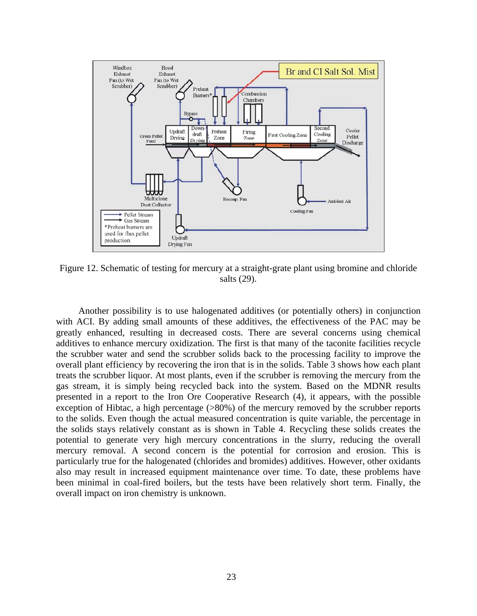

Figure 12. Schematic of testing for mercury at a straight-grate plant using bromine and chloride salts (29).

 Another possibility is to use halogenated additives (or potentially others) in conjunction with ACI. By adding small amounts of these additives, the effectiveness of the PAC may be greatly enhanced, resulting in decreased costs. There are several concerns using chemical additives to enhance mercury oxidization. The first is that many of the taconite facilities recycle the scrubber water and send the scrubber solids back to the processing facility to improve the overall plant efficiency by recovering the iron that is in the solids. Table 3 shows how each plant treats the scrubber liquor. At most plants, even if the scrubber is removing the mercury from the gas stream, it is simply being recycled back into the system. Based on the MDNR results presented in a report to the Iron Ore Cooperative Research (4), it appears, with the possible exception of Hibtac, a high percentage ( $>80\%$ ) of the mercury removed by the scrubber reports to the solids. Even though the actual measured concentration is quite variable, the percentage in the solids stays relatively constant as is shown in Table 4. Recycling these solids creates the potential to generate very high mercury concentrations in the slurry, reducing the overall mercury removal. A second concern is the potential for corrosion and erosion. This is particularly true for the halogenated (chlorides and bromides) additives. However, other oxidants also may result in increased equipment maintenance over time. To date, these problems have been minimal in coal-fired boilers, but the tests have been relatively short term. Finally, the overall impact on iron chemistry is unknown.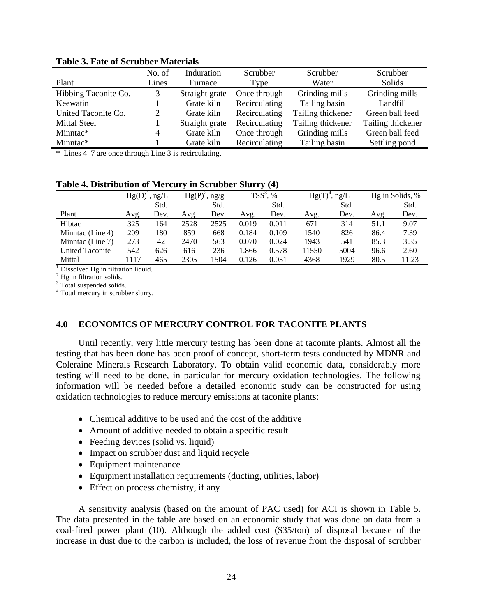|                      | No. of | Induration     | Scrubber<br>Scrubber |                   | Scrubber          |  |
|----------------------|--------|----------------|----------------------|-------------------|-------------------|--|
| Plant                | Lines  | Furnace        | Type                 | Water             | Solids            |  |
| Hibbing Taconite Co. | 3      | Straight grate | Once through         | Grinding mills    | Grinding mills    |  |
| Keewatin             |        | Grate kiln     | Recirculating        | Tailing basin     | Landfill          |  |
| United Taconite Co.  | 2      | Grate kiln     | Recirculating        | Tailing thickener | Green ball feed   |  |
| <b>Mittal Steel</b>  |        | Straight grate | Recirculating        | Tailing thickener | Tailing thickener |  |
| Minntac*             | 4      | Grate kiln     | Once through         | Grinding mills    | Green ball feed   |  |
| Minntac*             |        | Grate kiln     | Recirculating        | Tailing basin     | Settling pond     |  |

**Table 3. Fate of Scrubber Materials** 

**\*** Lines 4–7 are once through Line 3 is recirculating.

**Table 4. Distribution of Mercury in Scrubber Slurry (4)** 

|                        | Hg(D)<br>ng/L |      | Hg(P)<br>ng/g |      | $TSS^3$<br>$\%$ |       | ng/L<br>Hg(T |      | Hg in Solids, % |       |
|------------------------|---------------|------|---------------|------|-----------------|-------|--------------|------|-----------------|-------|
|                        |               | Std. |               | Std. |                 | Std.  |              | Std. |                 | Std.  |
| Plant                  | Avg.          | Dev. | Avg.          | Dev. | Avg.            | Dev.  | Avg.         | Dev. | Avg.            | Dev.  |
| Hibtac                 | 325           | . 64 | 2528          | 2525 | 0.019           | 0.011 | 671          | 314  | 51.1            | 9.07  |
| Minntac (Line 4)       | 209           | 180  | 859           | 668  | 0.184           | 0.109 | 1540         | 826  | 86.4            | 7.39  |
| Minntac (Line 7)       | 273           | 42   | 2470          | 563  | 0.070           | 0.024 | 1943         | 541  | 85.3            | 3.35  |
| <b>United Taconite</b> | 542           | 626  | 616           | 236  | .866            | 0.578 | 11550        | 5004 | 96.6            | 2.60  |
| Mittal                 | 1117          | 465  | 2305          | 1504 | 0.126           | 0.031 | 4368         | 1929 | 80.5            | 11.23 |

 $<sup>1</sup>$  Dissolved Hg in filtration liquid.</sup>

<sup>2</sup> Hg in filtration solids.

<sup>3</sup> Total suspended solids.

4 Total mercury in scrubber slurry.

#### **4.0 ECONOMICS OF MERCURY CONTROL FOR TACONITE PLANTS**

 Until recently, very little mercury testing has been done at taconite plants. Almost all the testing that has been done has been proof of concept, short-term tests conducted by MDNR and Coleraine Minerals Research Laboratory. To obtain valid economic data, considerably more testing will need to be done, in particular for mercury oxidation technologies. The following information will be needed before a detailed economic study can be constructed for using oxidation technologies to reduce mercury emissions at taconite plants:

- Chemical additive to be used and the cost of the additive
- Amount of additive needed to obtain a specific result
- Feeding devices (solid vs. liquid)
- Impact on scrubber dust and liquid recycle
- Equipment maintenance
- Equipment installation requirements (ducting, utilities, labor)
- Effect on process chemistry, if any

 A sensitivity analysis (based on the amount of PAC used) for ACI is shown in Table 5. The data presented in the table are based on an economic study that was done on data from a coal-fired power plant (10). Although the added cost (\$35/ton) of disposal because of the increase in dust due to the carbon is included, the loss of revenue from the disposal of scrubber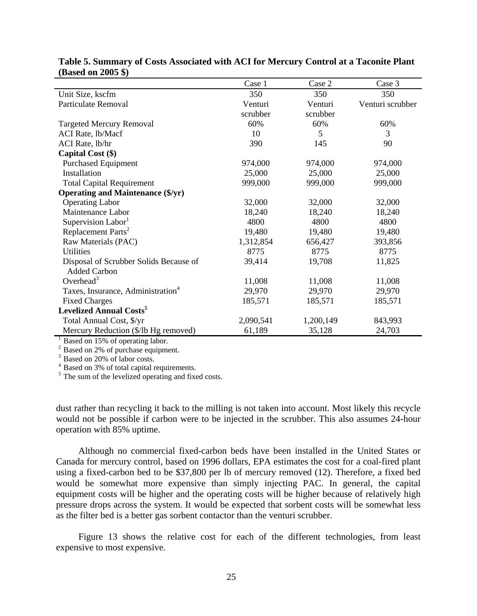|                                               | Case 1    | Case 2    | Case 3           |
|-----------------------------------------------|-----------|-----------|------------------|
| Unit Size, kscfm                              | 350       | 350       | 350              |
| Particulate Removal                           | Venturi   | Venturi   | Venturi scrubber |
|                                               | scrubber  | scrubber  |                  |
| <b>Targeted Mercury Removal</b>               | 60%       | 60%       | 60%              |
| ACI Rate, lb/Macf                             | 10        | 5         | 3                |
| ACI Rate, lb/hr                               | 390       | 145       | 90               |
| Capital Cost (\$)                             |           |           |                  |
| <b>Purchased Equipment</b>                    | 974,000   | 974,000   | 974,000          |
| Installation                                  | 25,000    | 25,000    | 25,000           |
| <b>Total Capital Requirement</b>              | 999,000   | 999,000   | 999,000          |
| <b>Operating and Maintenance (\$/yr)</b>      |           |           |                  |
| <b>Operating Labor</b>                        | 32,000    | 32,000    | 32,000           |
| Maintenance Labor                             | 18,240    | 18,240    | 18,240           |
| Supervision Labor <sup>1</sup>                | 4800      | 4800      | 4800             |
| Replacement Parts <sup>2</sup>                | 19,480    | 19,480    | 19,480           |
| Raw Materials (PAC)                           | 1,312,854 | 656,427   | 393,856          |
| <b>Utilities</b>                              | 8775      | 8775      | 8775             |
| Disposal of Scrubber Solids Because of        | 39,414    | 19,708    | 11,825           |
| <b>Added Carbon</b>                           |           |           |                  |
| Overhead <sup>3</sup>                         | 11,008    | 11,008    | 11,008           |
| Taxes, Insurance, Administration <sup>4</sup> | 29,970    | 29,970    | 29,970           |
| <b>Fixed Charges</b>                          | 185,571   | 185,571   | 185,571          |
| <b>Levelized Annual Costs<sup>5</sup></b>     |           |           |                  |
| Total Annual Cost, \$/yr                      | 2,090,541 | 1,200,149 | 843,993          |
| Mercury Reduction (\$/lb Hg removed)          | 61,189    | 35,128    | 24,703           |

#### **Table 5. Summary of Costs Associated with ACI for Mercury Control at a Taconite Plant (Based on 2005 \$)**

 $^{-1}$  Based on 15% of operating labor.

 $2^2$  Based on 2% of purchase equipment.

<sup>3</sup> Based on 20% of labor costs.

4 Based on 3% of total capital requirements.

<sup>5</sup> The sum of the levelized operating and fixed costs.

dust rather than recycling it back to the milling is not taken into account. Most likely this recycle would not be possible if carbon were to be injected in the scrubber. This also assumes 24-hour operation with 85% uptime.

 Although no commercial fixed-carbon beds have been installed in the United States or Canada for mercury control, based on 1996 dollars, EPA estimates the cost for a coal-fired plant using a fixed-carbon bed to be \$37,800 per lb of mercury removed (12). Therefore, a fixed bed would be somewhat more expensive than simply injecting PAC. In general, the capital equipment costs will be higher and the operating costs will be higher because of relatively high pressure drops across the system. It would be expected that sorbent costs will be somewhat less as the filter bed is a better gas sorbent contactor than the venturi scrubber.

 Figure 13 shows the relative cost for each of the different technologies, from least expensive to most expensive.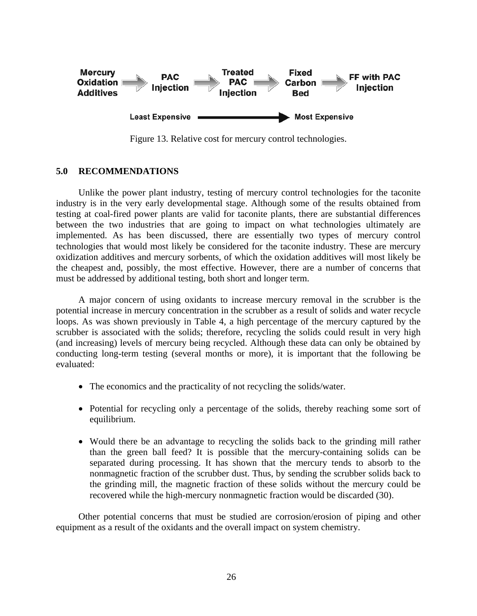

Figure 13. Relative cost for mercury control technologies.

### **5.0 RECOMMENDATIONS**

 Unlike the power plant industry, testing of mercury control technologies for the taconite industry is in the very early developmental stage. Although some of the results obtained from testing at coal-fired power plants are valid for taconite plants, there are substantial differences between the two industries that are going to impact on what technologies ultimately are implemented. As has been discussed, there are essentially two types of mercury control technologies that would most likely be considered for the taconite industry. These are mercury oxidization additives and mercury sorbents, of which the oxidation additives will most likely be the cheapest and, possibly, the most effective. However, there are a number of concerns that must be addressed by additional testing, both short and longer term.

 A major concern of using oxidants to increase mercury removal in the scrubber is the potential increase in mercury concentration in the scrubber as a result of solids and water recycle loops. As was shown previously in Table 4, a high percentage of the mercury captured by the scrubber is associated with the solids; therefore, recycling the solids could result in very high (and increasing) levels of mercury being recycled. Although these data can only be obtained by conducting long-term testing (several months or more), it is important that the following be evaluated:

- The economics and the practicality of not recycling the solids/water.
- Potential for recycling only a percentage of the solids, thereby reaching some sort of equilibrium.
- Would there be an advantage to recycling the solids back to the grinding mill rather than the green ball feed? It is possible that the mercury-containing solids can be separated during processing. It has shown that the mercury tends to absorb to the nonmagnetic fraction of the scrubber dust. Thus, by sending the scrubber solids back to the grinding mill, the magnetic fraction of these solids without the mercury could be recovered while the high-mercury nonmagnetic fraction would be discarded (30).

 Other potential concerns that must be studied are corrosion/erosion of piping and other equipment as a result of the oxidants and the overall impact on system chemistry.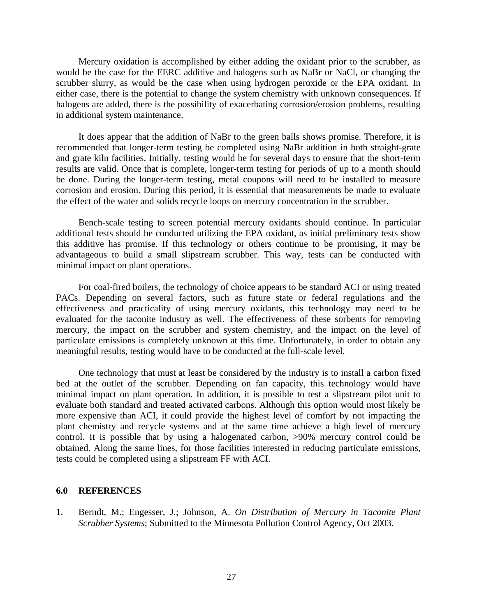Mercury oxidation is accomplished by either adding the oxidant prior to the scrubber, as would be the case for the EERC additive and halogens such as NaBr or NaCl, or changing the scrubber slurry, as would be the case when using hydrogen peroxide or the EPA oxidant. In either case, there is the potential to change the system chemistry with unknown consequences. If halogens are added, there is the possibility of exacerbating corrosion/erosion problems, resulting in additional system maintenance.

 It does appear that the addition of NaBr to the green balls shows promise. Therefore, it is recommended that longer-term testing be completed using NaBr addition in both straight-grate and grate kiln facilities. Initially, testing would be for several days to ensure that the short-term results are valid. Once that is complete, longer-term testing for periods of up to a month should be done. During the longer-term testing, metal coupons will need to be installed to measure corrosion and erosion. During this period, it is essential that measurements be made to evaluate the effect of the water and solids recycle loops on mercury concentration in the scrubber.

 Bench-scale testing to screen potential mercury oxidants should continue. In particular additional tests should be conducted utilizing the EPA oxidant, as initial preliminary tests show this additive has promise. If this technology or others continue to be promising, it may be advantageous to build a small slipstream scrubber. This way, tests can be conducted with minimal impact on plant operations.

 For coal-fired boilers, the technology of choice appears to be standard ACI or using treated PACs. Depending on several factors, such as future state or federal regulations and the effectiveness and practicality of using mercury oxidants, this technology may need to be evaluated for the taconite industry as well. The effectiveness of these sorbents for removing mercury, the impact on the scrubber and system chemistry, and the impact on the level of particulate emissions is completely unknown at this time. Unfortunately, in order to obtain any meaningful results, testing would have to be conducted at the full-scale level.

One technology that must at least be considered by the industry is to install a carbon fixed bed at the outlet of the scrubber. Depending on fan capacity, this technology would have minimal impact on plant operation. In addition, it is possible to test a slipstream pilot unit to evaluate both standard and treated activated carbons. Although this option would most likely be more expensive than ACI, it could provide the highest level of comfort by not impacting the plant chemistry and recycle systems and at the same time achieve a high level of mercury control. It is possible that by using a halogenated carbon, >90% mercury control could be obtained. Along the same lines, for those facilities interested in reducing particulate emissions, tests could be completed using a slipstream FF with ACI.

#### **6.0 REFERENCES**

1. Berndt, M.; Engesser, J.; Johnson, A. *On Distribution of Mercury in Taconite Plant Scrubber Systems*; Submitted to the Minnesota Pollution Control Agency, Oct 2003.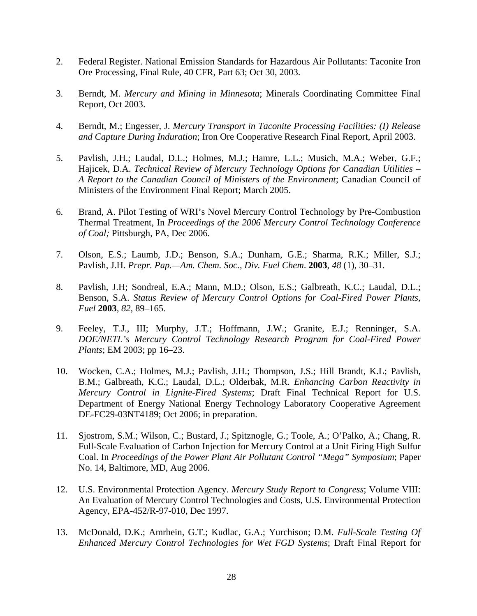- 2. Federal Register. National Emission Standards for Hazardous Air Pollutants: Taconite Iron Ore Processing, Final Rule, 40 CFR, Part 63; Oct 30, 2003.
- 3. Berndt, M. *Mercury and Mining in Minnesota*; Minerals Coordinating Committee Final Report, Oct 2003.
- 4. Berndt, M.; Engesser, J. *Mercury Transport in Taconite Processing Facilities: (I) Release and Capture During Induration*; Iron Ore Cooperative Research Final Report, April 2003.
- 5. Pavlish, J.H.; Laudal, D.L.; Holmes, M.J.; Hamre, L.L.; Musich, M.A.; Weber, G.F.; Hajicek, D.A. *Technical Review of Mercury Technology Options for Canadian Utilities – A Report to the Canadian Council of Ministers of the Environment*; Canadian Council of Ministers of the Environment Final Report; March 2005.
- 6. Brand, A. Pilot Testing of WRI's Novel Mercury Control Technology by Pre-Combustion Thermal Treatment, In *Proceedings of the 2006 Mercury Control Technology Conference of Coal;* Pittsburgh, PA, Dec 2006.
- 7. Olson, E.S.; Laumb, J.D.; Benson, S.A.; Dunham, G.E.; Sharma, R.K.; Miller, S.J.; Pavlish, J.H. *Prepr. Pap.—Am. Chem. Soc., Div. Fuel Chem*. **2003**, *48* (1), 30–31.
- 8. Pavlish, J.H; Sondreal, E.A.; Mann, M.D.; Olson, E.S.; Galbreath, K.C.; Laudal, D.L.; Benson, S.A. *Status Review of Mercury Control Options for Coal-Fired Power Plants, Fuel* **2003**, *82*, 89–165.
- 9. Feeley, T.J., III; Murphy, J.T.; Hoffmann, J.W.; Granite, E.J.; Renninger, S.A. *DOE/NETL's Mercury Control Technology Research Program for Coal-Fired Power Plants*; EM 2003; pp 16–23.
- 10. Wocken, C.A.; Holmes, M.J.; Pavlish, J.H.; Thompson, J.S.; Hill Brandt, K.L; Pavlish, B.M.; Galbreath, K.C.; Laudal, D.L.; Olderbak, M.R. *Enhancing Carbon Reactivity in Mercury Control in Lignite-Fired Systems*; Draft Final Technical Report for U.S. Department of Energy National Energy Technology Laboratory Cooperative Agreement DE-FC29-03NT4189; Oct 2006; in preparation.
- 11. Sjostrom, S.M.; Wilson, C.; Bustard, J.; Spitznogle, G.; Toole, A.; O'Palko, A.; Chang, R. Full-Scale Evaluation of Carbon Injection for Mercury Control at a Unit Firing High Sulfur Coal. In *Proceedings of the Power Plant Air Pollutant Control "Mega" Symposium*; Paper No. 14, Baltimore, MD, Aug 2006.
- 12. U.S. Environmental Protection Agency. *Mercury Study Report to Congress*; Volume VIII: An Evaluation of Mercury Control Technologies and Costs, U.S. Environmental Protection Agency, EPA-452/R-97-010, Dec 1997.
- 13. McDonald, D.K.; Amrhein, G.T.; Kudlac, G.A.; Yurchison; D.M. *Full-Scale Testing Of Enhanced Mercury Control Technologies for Wet FGD Systems*; Draft Final Report for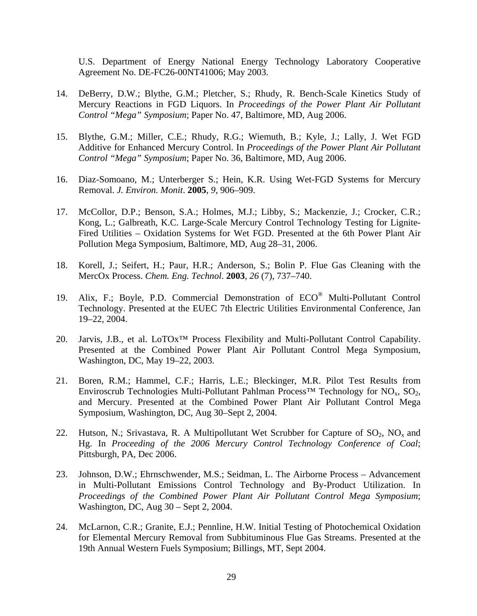U.S. Department of Energy National Energy Technology Laboratory Cooperative Agreement No. DE-FC26-00NT41006; May 2003.

- 14. DeBerry, D.W.; Blythe, G.M.; Pletcher, S.; Rhudy, R. Bench-Scale Kinetics Study of Mercury Reactions in FGD Liquors. In *Proceedings of the Power Plant Air Pollutant Control "Mega" Symposium*; Paper No. 47, Baltimore, MD, Aug 2006.
- 15. Blythe, G.M.; Miller, C.E.; Rhudy, R.G.; Wiemuth, B.; Kyle, J.; Lally, J. Wet FGD Additive for Enhanced Mercury Control. In *Proceedings of the Power Plant Air Pollutant Control "Mega" Symposium*; Paper No. 36, Baltimore, MD, Aug 2006.
- 16. Diaz-Somoano, M.; Unterberger S.; Hein, K.R. Using Wet-FGD Systems for Mercury Removal. *J. Environ. Monit*. **2005**, *9*, 906–909.
- 17. McCollor, D.P.; Benson, S.A.; Holmes, M.J.; Libby, S.; Mackenzie, J.; Crocker, C.R.; Kong, L.; Galbreath, K.C. Large-Scale Mercury Control Technology Testing for Lignite-Fired Utilities – Oxidation Systems for Wet FGD. Presented at the 6th Power Plant Air Pollution Mega Symposium, Baltimore, MD, Aug 28–31, 2006.
- 18. Korell, J.; Seifert, H.; Paur, H.R.; Anderson, S.; Bolin P. Flue Gas Cleaning with the MercOx Process. *Chem. Eng. Technol*. **2003**, *26* (7), 737–740.
- 19. Alix, F.; Boyle, P.D. Commercial Demonstration of ECO® Multi-Pollutant Control Technology. Presented at the EUEC 7th Electric Utilities Environmental Conference, Jan 19–22, 2004.
- 20. Jarvis, J.B., et al. LoTOx™ Process Flexibility and Multi-Pollutant Control Capability. Presented at the Combined Power Plant Air Pollutant Control Mega Symposium, Washington, DC, May 19–22, 2003.
- 21. Boren, R.M.; Hammel, C.F.; Harris, L.E.; Bleckinger, M.R. Pilot Test Results from Enviroscrub Technologies Multi-Pollutant Pahlman Process<sup>TM</sup> Technology for NO<sub>x</sub>, SO<sub>2</sub>, and Mercury. Presented at the Combined Power Plant Air Pollutant Control Mega Symposium, Washington, DC, Aug 30–Sept 2, 2004.
- 22. Hutson, N.; Srivastava, R. A Multipollutant Wet Scrubber for Capture of  $SO_2$ , NO<sub>x</sub> and Hg. In *Proceeding of the 2006 Mercury Control Technology Conference of Coal*; Pittsburgh, PA, Dec 2006.
- 23. Johnson, D.W.; Ehrnschwender, M.S.; Seidman, L. The Airborne Process Advancement in Multi-Pollutant Emissions Control Technology and By-Product Utilization. In *Proceedings of the Combined Power Plant Air Pollutant Control Mega Symposium*; Washington, DC, Aug 30 – Sept 2, 2004.
- 24. McLarnon, C.R.; Granite, E.J.; Pennline, H.W. Initial Testing of Photochemical Oxidation for Elemental Mercury Removal from Subbituminous Flue Gas Streams. Presented at the 19th Annual Western Fuels Symposium; Billings, MT, Sept 2004.